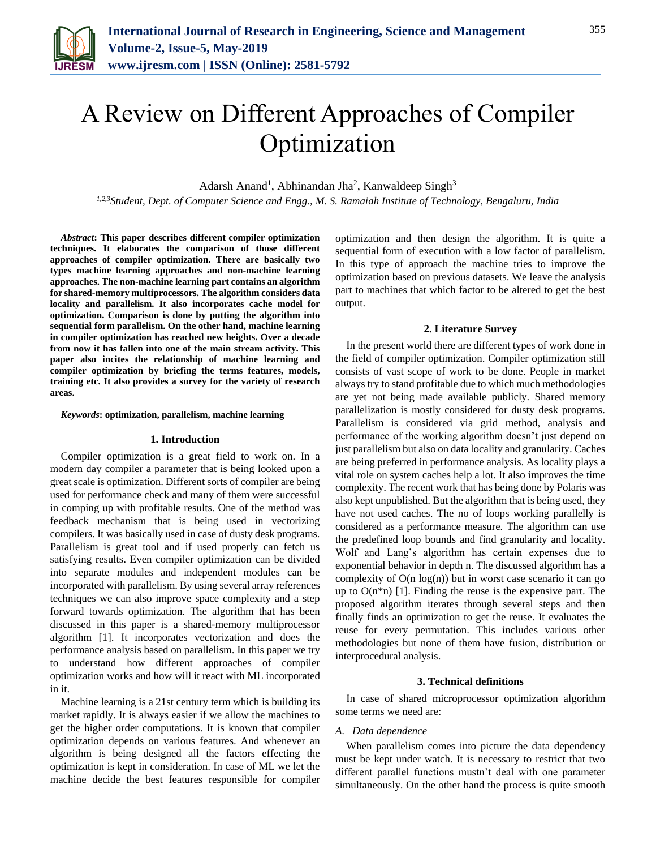

# A Review on Different Approaches of Compiler Optimization

Adarsh Anand<sup>1</sup>, Abhinandan Jha<sup>2</sup>, Kanwaldeep Singh<sup>3</sup>

*1,2,3Student, Dept. of Computer Science and Engg., M. S. Ramaiah Institute of Technology, Bengaluru, India*

*Abstract***: This paper describes different compiler optimization techniques. It elaborates the comparison of those different approaches of compiler optimization. There are basically two types machine learning approaches and non-machine learning approaches. The non-machine learning part contains an algorithm for shared-memory multiprocessors. The algorithm considers data locality and parallelism. It also incorporates cache model for optimization. Comparison is done by putting the algorithm into sequential form parallelism. On the other hand, machine learning in compiler optimization has reached new heights. Over a decade from now it has fallen into one of the main stream activity. This paper also incites the relationship of machine learning and compiler optimization by briefing the terms features, models, training etc. It also provides a survey for the variety of research areas.**

# *Keywords***: optimization, parallelism, machine learning**

#### **1. Introduction**

Compiler optimization is a great field to work on. In a modern day compiler a parameter that is being looked upon a great scale is optimization. Different sorts of compiler are being used for performance check and many of them were successful in comping up with profitable results. One of the method was feedback mechanism that is being used in vectorizing compilers. It was basically used in case of dusty desk programs. Parallelism is great tool and if used properly can fetch us satisfying results. Even compiler optimization can be divided into separate modules and independent modules can be incorporated with parallelism. By using several array references techniques we can also improve space complexity and a step forward towards optimization. The algorithm that has been discussed in this paper is a shared-memory multiprocessor algorithm [1]. It incorporates vectorization and does the performance analysis based on parallelism. In this paper we try to understand how different approaches of compiler optimization works and how will it react with ML incorporated in it.

Machine learning is a 21st century term which is building its market rapidly. It is always easier if we allow the machines to get the higher order computations. It is known that compiler optimization depends on various features. And whenever an algorithm is being designed all the factors effecting the optimization is kept in consideration. In case of ML we let the machine decide the best features responsible for compiler optimization and then design the algorithm. It is quite a sequential form of execution with a low factor of parallelism. In this type of approach the machine tries to improve the optimization based on previous datasets. We leave the analysis part to machines that which factor to be altered to get the best output.

## **2. Literature Survey**

In the present world there are different types of work done in the field of compiler optimization. Compiler optimization still consists of vast scope of work to be done. People in market always try to stand profitable due to which much methodologies are yet not being made available publicly. Shared memory parallelization is mostly considered for dusty desk programs. Parallelism is considered via grid method, analysis and performance of the working algorithm doesn't just depend on just parallelism but also on data locality and granularity. Caches are being preferred in performance analysis. As locality plays a vital role on system caches help a lot. It also improves the time complexity. The recent work that has being done by Polaris was also kept unpublished. But the algorithm that is being used, they have not used caches. The no of loops working parallelly is considered as a performance measure. The algorithm can use the predefined loop bounds and find granularity and locality. Wolf and Lang's algorithm has certain expenses due to exponential behavior in depth n. The discussed algorithm has a complexity of O(n log(n)) but in worst case scenario it can go up to  $O(n^*n)$  [1]. Finding the reuse is the expensive part. The proposed algorithm iterates through several steps and then finally finds an optimization to get the reuse. It evaluates the reuse for every permutation. This includes various other methodologies but none of them have fusion, distribution or interprocedural analysis.

#### **3. Technical definitions**

In case of shared microprocessor optimization algorithm some terms we need are:

# *A. Data dependence*

When parallelism comes into picture the data dependency must be kept under watch. It is necessary to restrict that two different parallel functions mustn't deal with one parameter simultaneously. On the other hand the process is quite smooth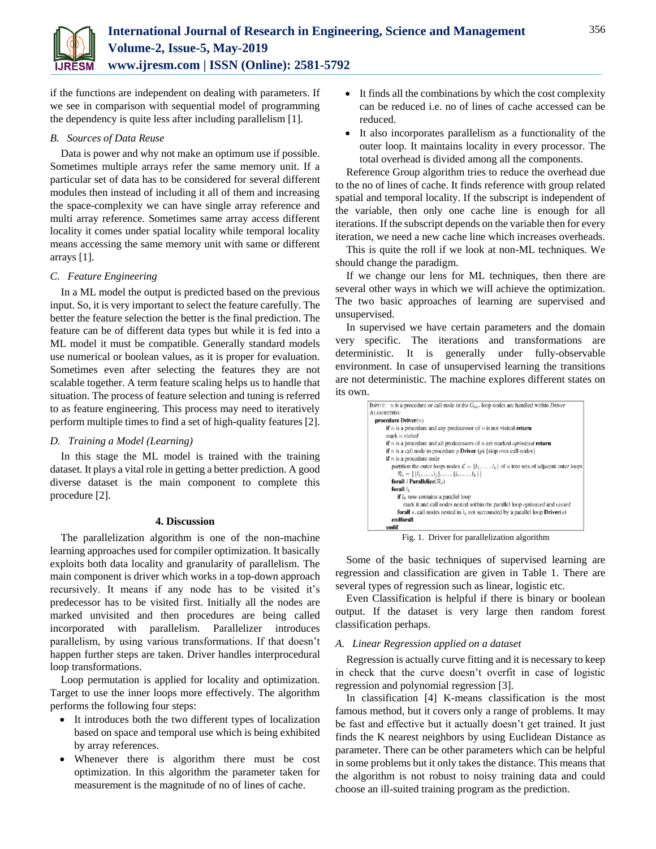

if the functions are independent on dealing with parameters. If we see in comparison with sequential model of programming the dependency is quite less after including parallelism [1].

# *B. Sources of Data Reuse*

Data is power and why not make an optimum use if possible. Sometimes multiple arrays refer the same memory unit. If a particular set of data has to be considered for several different modules then instead of including it all of them and increasing the space-complexity we can have single array reference and multi array reference. Sometimes same array access different locality it comes under spatial locality while temporal locality means accessing the same memory unit with same or different arrays [1].

# *C. Feature Engineering*

In a ML model the output is predicted based on the previous input. So, it is very important to select the feature carefully. The better the feature selection the better is the final prediction. The feature can be of different data types but while it is fed into a ML model it must be compatible. Generally standard models use numerical or boolean values, as it is proper for evaluation. Sometimes even after selecting the features they are not scalable together. A term feature scaling helps us to handle that situation. The process of feature selection and tuning is referred to as feature engineering. This process may need to iteratively perform multiple times to find a set of high-quality features [2].

# *D. Training a Model (Learning)*

In this stage the ML model is trained with the training dataset. It plays a vital role in getting a better prediction. A good diverse dataset is the main component to complete this procedure [2].

# **4. Discussion**

The parallelization algorithm is one of the non-machine learning approaches used for compiler optimization. It basically exploits both data locality and granularity of parallelism. The main component is driver which works in a top-down approach recursively. It means if any node has to be visited it's predecessor has to be visited first. Initially all the nodes are marked unvisited and then procedures are being called incorporated with parallelism. Parallelizer introduces parallelism, by using various transformations. If that doesn't happen further steps are taken. Driver handles interprocedural loop transformations.

Loop permutation is applied for locality and optimization. Target to use the inner loops more effectively. The algorithm performs the following four steps:

- It introduces both the two different types of localization based on space and temporal use which is being exhibited by array references.
- Whenever there is algorithm there must be cost optimization. In this algorithm the parameter taken for measurement is the magnitude of no of lines of cache.
- It finds all the combinations by which the cost complexity can be reduced i.e. no of lines of cache accessed can be reduced.
- It also incorporates parallelism as a functionality of the outer loop. It maintains locality in every processor. The total overhead is divided among all the components.

Reference Group algorithm tries to reduce the overhead due to the no of lines of cache. It finds reference with group related spatial and temporal locality. If the subscript is independent of the variable, then only one cache line is enough for all iterations. If the subscript depends on the variable then for every iteration, we need a new cache line which increases overheads.

This is quite the roll if we look at non-ML techniques. We should change the paradigm.

If we change our lens for ML techniques, then there are several other ways in which we will achieve the optimization. The two basic approaches of learning are supervised and unsupervised.

In supervised we have certain parameters and the domain very specific. The iterations and transformations are deterministic. It is generally under fully-observable environment. In case of unsupervised learning the transitions are not deterministic. The machine explores different states on its own.

|            | INPUT: $n$ is a procedure or call node in the $G_{ac}$ , loop nodes are handled within <i>Driver</i>               |
|------------|--------------------------------------------------------------------------------------------------------------------|
| ALGORITHM: |                                                                                                                    |
|            | procedure $\text{Driver}(n)$                                                                                       |
|            | <b>if</b> $n$ is a procedure and any predecessor of $n$ is not visited <b>return</b>                               |
|            | mark <i>n</i> visited                                                                                              |
|            | if $n$ is a procedure and all predecessors of $n$ are marked <i>optimized</i> return                               |
|            | <b>if</b> <i>n</i> is a call node to procedure <i>p</i> <b>Driver</b> ( <i>p</i> ) {skip over call nodes}          |
|            | <b>if</b> $n$ is a procedure node                                                                                  |
|            | partition the outer loops nodes $\mathcal{L} = \{l_1, \ldots, l_k\}$ of <i>n</i> into sets of adjacent outer loops |
|            | $\mathcal{R}_i = \{\{l_1, \ldots, l_i\}, \ldots, \{l_r, \ldots, l_k\}\}\$                                          |
|            | forall i Parallelize( $\mathcal{R}_i$ )                                                                            |
|            | forall $l_k$                                                                                                       |
|            | <b>if</b> $l_k$ now contains a parallel loop                                                                       |
|            | mark it and call nodes nested within the parallel loop <i>optimized</i> and visited                                |
|            | <b>forall</b> s, call nodes nested in $l_k$ not surrounded by a parallel loop <b>Driver</b> (s)                    |
|            | endforall                                                                                                          |
| endif      |                                                                                                                    |

Fig. 1. Driver for parallelization algorithm

Some of the basic techniques of supervised learning are regression and classification are given in Table 1. There are several types of regression such as linear, logistic etc.

Even Classification is helpful if there is binary or boolean output. If the dataset is very large then random forest classification perhaps.

# *A. Linear Regression applied on a dataset*

Regression is actually curve fitting and it is necessary to keep in check that the curve doesn't overfit in case of logistic regression and polynomial regression [3].

In classification [4] K-means classification is the most famous method, but it covers only a range of problems. It may be fast and effective but it actually doesn't get trained. It just finds the K nearest neighbors by using Euclidean Distance as parameter. There can be other parameters which can be helpful in some problems but it only takes the distance. This means that the algorithm is not robust to noisy training data and could choose an ill-suited training program as the prediction.